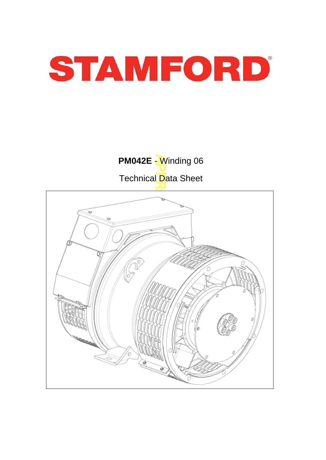



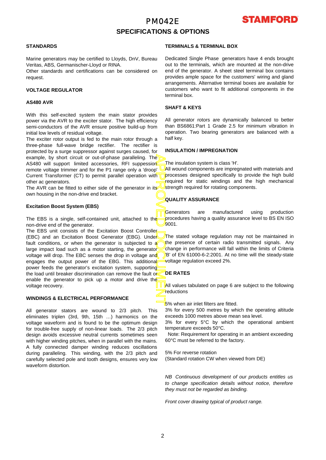## PM042E **SPECIFICATIONS & OPTIONS**



#### **STANDARDS**

Marine generators may be certified to Lloyds, DnV, Bureau Veritas, ABS, Germanischer-Lloyd or RINA.

Other standards and certifications can be considered on request.

#### **VOLTAGE REGULATOR**

#### **AS480 AVR**

With this self-excited system the main stator provides power via the AVR to the exciter stator. The high efficiency semi-conductors of the AVR ensure positive build-up from initial low levels of residual voltage.

The exciter rotor output is fed to the main rotor through a three-phase full-wave bridge rectifier. The rectifier is protected by a surge suppressor against surges caused, fo r example, by short circuit or out-of-phase paralleling. The AS480 will support limited accessories, RFI suppession remote voltage trimmer and for the P1 range only a 'droop' Current Transformer (CT) to permit parallel operation with other ac generators.

The AVR can be fitted to either side of the generator in its own housing in the non-drive end bracket.

#### **Excitation Boost System (EBS)**

The EBS is a single, self-contained unit, attached to the non-drive end of the generator.

APPROVED DOCUMENT The EBS unit consists of the Excitation Boost Controller (EBC) and an Excitation Boost Generator (EBG). Under fault conditions, or when the generator is subjected to a large impact load such as a motor starting, the generator voltage will drop. The EBC senses the drop in voltage and engages the output power of the EBG. This additional power feeds the generator's excitation system, supporting the load until breaker discrimination can remove the fault or enable the generator to pick up a motor and drive the voltage recovery.

## **WINDINGS & ELECTRICAL PERFORMANCE**

All generator stators are wound to 2/3 pitch. This eliminates triplen (3rd, 9th, 15th …) harmonics on the voltage waveform and is found to be the optimum design for trouble-free supply of non-linear loads. The 2/3 pitch design avoids excessive neutral currents sometimes seen with higher winding pitches, when in parallel with the mains. A fully connected damper winding reduces oscillations during paralleling. This winding, with the 2/3 pitch and carefully selected pole and tooth designs, ensures very low waveform distortion.

#### **TERMINALS & TERMINAL BOX**

Dedicated Single Phase generators have 4 ends brought out to the terminals, which are mounted at the non-drive end of the generator. A sheet steel terminal box contains provides ample space for the customers' wiring and gland arrangements. Alternative terminal boxes are available fo r customers who want to fit additional components in the terminal box.

### **SHAFT & KEYS**

All generator rotors are dynamically balanced to better than BS6861:Part 1 Grade 2.5 for minimum vibration in operation. Two bearing generators are balanced with a half key.

#### **INSULATION / IMPREGNATION**

The insulation system is class 'H'.

All wound components are impregnated with materials and processes designed specifically to provide the high build required for static windings and the high mechanical strength required for rotating components.

## **QUALITY ASSURANCE**

Generators are manufactured using production procedures having a quality assurance level to BS EN ISO 9001.

The stated voltage regulation may not be maintained in the presence of certain radio transmitted signals. Any change in performance will fall within the limits of Criteria B' of EN 61000-6-2:2001. At no time will the steady-state voltage regulation exceed 2%.

## **DE RATES**

All values tabulated on page 6 are subiect to the following reductions

5% when air inlet filters are fitted.

3% for every 500 metres by which the operating altitude exceeds 1000 metres above mean sea level.

3% for every 5°C by which the operational ambient temperature exceeds 50°C.

 Note: Requirement for operating in an ambient exceeding 60°C must be referred to the factory.

5% For reverse rotation (Standard rotation CW when viewed from DE)

*NB Continuous development of our products entitles us to change specification details without notice, therefore they must not be regarded as binding.* 

*Front cover drawing typical of product range.*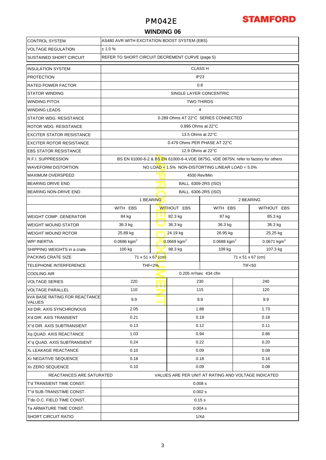## PM042E



## **WINDING 06**

| <b>CONTROL SYSTEM</b>                                                           | AS480 AVR WITH EXCITATION BOOST SYSTEM (EBS)    |                         |                                                    |                                                                                      |                           |             |  |  |  |  |
|---------------------------------------------------------------------------------|-------------------------------------------------|-------------------------|----------------------------------------------------|--------------------------------------------------------------------------------------|---------------------------|-------------|--|--|--|--|
| <b>VOLTAGE REGULATION</b>                                                       | ± 1.0 %                                         |                         |                                                    |                                                                                      |                           |             |  |  |  |  |
| <b>SUSTAINED SHORT CIRCUIT</b>                                                  | REFER TO SHORT CIRCUIT DECREMENT CURVE (page 5) |                         |                                                    |                                                                                      |                           |             |  |  |  |  |
| <b>INSULATION SYSTEM</b>                                                        | <b>CLASS H</b>                                  |                         |                                                    |                                                                                      |                           |             |  |  |  |  |
| <b>PROTECTION</b>                                                               | IP <sub>23</sub>                                |                         |                                                    |                                                                                      |                           |             |  |  |  |  |
| <b>RATED POWER FACTOR</b>                                                       | 0.8                                             |                         |                                                    |                                                                                      |                           |             |  |  |  |  |
| <b>STATOR WINDING</b>                                                           |                                                 | SINGLE LAYER CONCENTRIC |                                                    |                                                                                      |                           |             |  |  |  |  |
| <b>WINDING PITCH</b>                                                            |                                                 |                         |                                                    | TWO THIRDS                                                                           |                           |             |  |  |  |  |
| <b>WINDING LEADS</b>                                                            | 4                                               |                         |                                                    |                                                                                      |                           |             |  |  |  |  |
| STATOR WDG. RESISTANCE                                                          | 0.289 Ohms AT 22°C SERIES CONNECTED             |                         |                                                    |                                                                                      |                           |             |  |  |  |  |
| ROTOR WDG. RESISTANCE                                                           |                                                 |                         | 0.895 Ohms at 22°C                                 |                                                                                      |                           |             |  |  |  |  |
| <b>EXCITER STATOR RESISTANCE</b>                                                |                                                 |                         | 13.5 Ohms at 22°C                                  |                                                                                      |                           |             |  |  |  |  |
| <b>EXCITER ROTOR RESISTANCE</b>                                                 |                                                 |                         | 0.479 Ohms PER PHASE AT 22°C                       |                                                                                      |                           |             |  |  |  |  |
| <b>EBS STATOR RESISTANCE</b>                                                    |                                                 |                         | 12.9 Ohms at 22°C                                  |                                                                                      |                           |             |  |  |  |  |
| <b>R.F.I. SUPPRESSION</b>                                                       |                                                 |                         |                                                    | BS EN 61000-6-2 & BS EN 61000-6-4, VDE 0875G, VDE 0875N. refer to factory for others |                           |             |  |  |  |  |
| <b>WAVEFORM DISTORTION</b>                                                      |                                                 |                         |                                                    | NO LOAD < $1.5\%$ NON-DISTORTING LINEAR LOAD < $5.0\%$                               |                           |             |  |  |  |  |
| <b>MAXIMUM OVERSPEED</b>                                                        |                                                 |                         | 4500 Rev/Min                                       |                                                                                      |                           |             |  |  |  |  |
| <b>BEARING DRIVE END</b>                                                        | BALL. 6309-2RS (ISO)                            |                         |                                                    |                                                                                      |                           |             |  |  |  |  |
| <b>BEARING NON-DRIVE END</b>                                                    | BALL. 6306-2RS (ISO)                            |                         |                                                    |                                                                                      |                           |             |  |  |  |  |
|                                                                                 | 1 BEARING                                       |                         | 2 BEARING                                          |                                                                                      |                           |             |  |  |  |  |
|                                                                                 | WITH EBS                                        |                         | <b>WITHOUT EBS</b>                                 | WITH EBS                                                                             |                           | WITHOUT EBS |  |  |  |  |
| <b>WEIGHT COMP. GENERATOR</b>                                                   | 84 kg                                           | u u 1<br>82.3 kg        |                                                    | 87 kg                                                                                |                           | 85.3 kg     |  |  |  |  |
| <b>WEIGHT WOUND STATOR</b>                                                      | 36.3 kg                                         |                         | 36.3 kg                                            | 36.3 kg                                                                              |                           | 36.3 kg     |  |  |  |  |
| <b>WEIGHT WOUND ROTOR</b>                                                       | 25.89 kg                                        |                         | 24.19 kg                                           | 26.95 kg                                                                             |                           | 25.25 kg    |  |  |  |  |
| WR <sup>2</sup> INERTIA                                                         | 0.0686 kgm <sup>2</sup>                         |                         | 0.0669 kgm <sup>2</sup><br>0.0688 kgm <sup>2</sup> |                                                                                      | $0.0671$ kgm <sup>2</sup> |             |  |  |  |  |
| SHIPPING WEIGHTS in a crate                                                     | 100 kg                                          | 98.3 kg                 | 109 kg                                             | 107.3 kg                                                                             |                           |             |  |  |  |  |
| <b>PACKING CRATE SIZE</b>                                                       | 71 x 51 x 67 (cm)<br>71 x 51 x 67 (cm)          |                         |                                                    |                                                                                      |                           |             |  |  |  |  |
| TELEPHONE INTERFERENCE                                                          | THF<2%<br><b>TIF&lt;50</b>                      |                         |                                                    |                                                                                      |                           |             |  |  |  |  |
| <b>COOLING AIR</b>                                                              |                                                 |                         | 0.205 m <sup>3</sup> /sec 434 cfm                  |                                                                                      |                           |             |  |  |  |  |
| <b>VOLTAGE SERIES</b>                                                           | 220                                             | 230                     |                                                    |                                                                                      |                           | 240         |  |  |  |  |
| <b>VOLTAGE PARALLEL</b>                                                         | 110                                             |                         | 115                                                |                                                                                      |                           | 120         |  |  |  |  |
| <b>KVA BASE RATING FOR REACTANCE</b><br><b>VALUES</b>                           | 9.9                                             | 9.9<br>9.9              |                                                    |                                                                                      |                           |             |  |  |  |  |
| Xd DIR. AXIS SYNCHRONOUS                                                        | 2.05                                            |                         |                                                    | 1.88                                                                                 |                           | 1.73        |  |  |  |  |
| X'd DIR. AXIS TRANSIENT                                                         | 0.21<br>0.19<br>0.18                            |                         |                                                    |                                                                                      |                           |             |  |  |  |  |
| X"d DIR. AXIS SUBTRANSIENT                                                      | 0.13<br>0.12<br>0.11                            |                         |                                                    |                                                                                      |                           |             |  |  |  |  |
| Xq QUAD. AXIS REACTANCE                                                         | 1.03                                            |                         | 0.94                                               |                                                                                      | 0.86                      |             |  |  |  |  |
| X"q QUAD. AXIS SUBTRANSIENT                                                     | 0.24                                            |                         | 0.22                                               |                                                                                      | 0.20                      |             |  |  |  |  |
| XL LEAKAGE REACTANCE                                                            | 0.10                                            |                         | 0.09                                               |                                                                                      | 0.08                      |             |  |  |  |  |
| X <sub>2</sub> NEGATIVE SEQUENCE                                                | 0.18                                            |                         | 0.18                                               |                                                                                      | 0.16                      |             |  |  |  |  |
| X <sub>0</sub> ZERO SEQUENCE                                                    | 0.10<br>0.09<br>0.08                            |                         |                                                    |                                                                                      |                           |             |  |  |  |  |
| REACTANCES ARE SATURATED<br>VALUES ARE PER UNIT AT RATING AND VOLTAGE INDICATED |                                                 |                         |                                                    |                                                                                      |                           |             |  |  |  |  |
| T'd TRANSIENT TIME CONST.<br>0.008 s                                            |                                                 |                         |                                                    |                                                                                      |                           |             |  |  |  |  |
| T"d SUB-TRANSTIME CONST.                                                        | 0.002 s                                         |                         |                                                    |                                                                                      |                           |             |  |  |  |  |
| T'do O.C. FIELD TIME CONST.                                                     | 0.15s                                           |                         |                                                    |                                                                                      |                           |             |  |  |  |  |
| Ta ARMATURE TIME CONST.                                                         | 0.004 s                                         |                         |                                                    |                                                                                      |                           |             |  |  |  |  |
| <b>SHORT CIRCUIT RATIO</b>                                                      | 1/Xd                                            |                         |                                                    |                                                                                      |                           |             |  |  |  |  |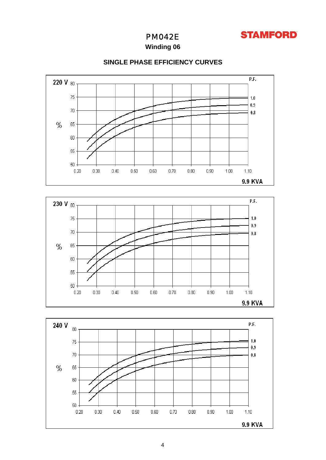

## PM042E

## **Winding 06**



## **SINGLE PHASE EFFICIENCY CURVES**



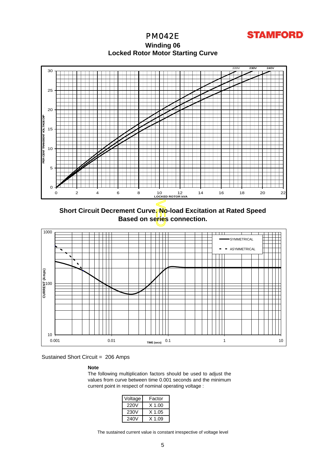**STAMFORD** 

PM042E **Winding 06 Locked Rotor Motor Startin g Curve**



**Short Circuit Decrement Curve. No-load Excitation at Rated Speed Based on series connection.**



Sustained Short Circuit = 206 Amps

**Note** 

The following multiplication factors should be used to adjust the values from curve between time 0.001 seconds and the minimum current point in respect of nominal operating voltage :

| Voltage | Factor |
|---------|--------|
| 220V    | X 1.00 |
| 230V    | X 1.05 |
| 240V    | X 1 09 |

The sustained current value is constant irrespective of voltage level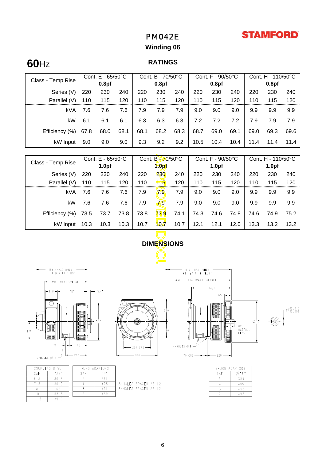## **STAMFORD**

## PM042E

## **Winding 06**

# **60**Hz **RATINGS**

|                   |                   | Cont. $E - 65/50^{\circ}C$ |                   | Cont. B - 70/50°C |      |                   | Cont. F - 90/50°C |      |                   | Cont. H - 110/50°C |      |      |
|-------------------|-------------------|----------------------------|-------------------|-------------------|------|-------------------|-------------------|------|-------------------|--------------------|------|------|
| Class - Temp Rise | 0.8 <sub>pf</sub> |                            | 0.8 <sub>pf</sub> |                   |      | 0.8 <sub>pf</sub> |                   |      | 0.8 <sub>pf</sub> |                    |      |      |
| Series (V)        | 220               | 230                        | 240               | 220               | 230  | 240               | 220               | 230  | 240               | 220                | 230  | 240  |
| Parallel (V)      | 110               | 115                        | 120               | 110               | 115  | 120               | 110               | 115  | 120               | 110                | 115  | 120  |
| <b>kVA</b>        | 7.6               | 7.6                        | 7.6               | 7.9               | 7.9  | 7.9               | 9.0               | 9.0  | 9.0               | 9.9                | 9.9  | 9.9  |
| kW                | 6.1               | 6.1                        | 6.1               | 6.3               | 6.3  | 6.3               | 7.2               | 7.2  | 7.2               | 7.9                | 7.9  | 7.9  |
| Efficiency (%)    | 67.8              | 68.0                       | 68.1              | 68.1              | 68.2 | 68.3              | 68.7              | 69.0 | 69.1              | 69.0               | 69.3 | 69.6 |
| kW Input          | 9.0               | 9.0                        | 9.0               | 9.3               | 9.2  | 9.2               | 10.5              | 10.4 | 10.4              | 11.4               | 11.4 | 11.4 |

| Cont. E - 65/50°C<br>Class - Temp Rise                                                     |      | Cont. B-70/50°C   |      |                   | Cont. F - 90/50°C |                   |      | Cont. H - 110/50°C         |                   |      |      |      |
|--------------------------------------------------------------------------------------------|------|-------------------|------|-------------------|-------------------|-------------------|------|----------------------------|-------------------|------|------|------|
|                                                                                            |      | 1.0 <sub>pf</sub> |      | 1.0 <sub>pf</sub> |                   | 1.0 <sub>pf</sub> |      |                            | 1.0 <sub>pf</sub> |      |      |      |
| Series (V)                                                                                 | 220  | 230               | 240  | 220               | 230               | 240               | 220  | 230                        | 240               | 220  | 230  | 240  |
| Parallel (V)                                                                               | 110  | 115               | 120  | 110               | 115               | 120               | 110  | 115                        | 120               | 110  | 115  | 120  |
| <b>kVA</b>                                                                                 | 7.6  | 7.6               | 7.6  | 7.9               | 79                | 7.9               | 9.0  | 9.0                        | 9.0               | 9.9  | 9.9  | 9.9  |
| kW                                                                                         | 7.6  | 7.6               | 7.6  | 7.9               | 79                | 7.9               | 9.0  | 9.0                        | 9.0               | 9.9  | 9.9  | 9.9  |
| Efficiency (%)                                                                             | 73.5 | 73.7              | 73.8 | 73.8              | 73.9              | 74.1              | 74.3 | 74.6                       | 74.8              | 74.6 | 74.9 | 75.2 |
| kW Input                                                                                   | 10.3 | 10.3              | 10.3 | 10.7              | 107               | 10.7              | 12.1 | 12.1                       | 12.0              | 13.3 | 13.2 | 13.2 |
|                                                                                            |      |                   |      |                   |                   |                   |      |                            |                   |      |      |      |
| <b>DIMENSIONS</b>                                                                          |      |                   |      |                   |                   |                   |      |                            |                   |      |      |      |
|                                                                                            |      |                   |      |                   |                   |                   |      |                            |                   |      |      |      |
|                                                                                            |      |                   |      |                   |                   |                   |      |                            |                   |      |      |      |
| (MAX) W <b>HE</b> N<br>WHEN<br>48 L<br>576 (MAX)<br>FITTED WITH 'EBS'<br>FITTED WITH 'EBS' |      |                   |      |                   |                   |                   |      |                            |                   |      |      |      |
| - 494 (MAX) OVERALL<br>$\leftarrow$ 399 (MAX) OVERALL $\rightarrow$                        |      |                   |      |                   |                   |                   |      |                            |                   |      |      |      |
| 374,5<br># AN#<br>l II   6 →                                                               |      |                   |      |                   |                   |                   |      |                            |                   |      |      |      |
|                                                                                            | 不要要求 |                   |      |                   |                   |                   |      | 65<br><b>TO BRASHER TO</b> |                   |      |      |      |



|        | $-254$ CRS $-$ |
|--------|----------------|
| $-386$ |                |





 $\Gamma^{\cancel{0}42,018}_{42,009}$ 

⊘"E"

| COUPLING DISC | I-BRG   |     |
|---------------|---------|-----|
| SAF           | " A N " | SAF |
| 65            | 30.2    |     |
|               | 30.2    |     |
|               |         |     |
|               | 53.8    |     |
|               | 39.     |     |